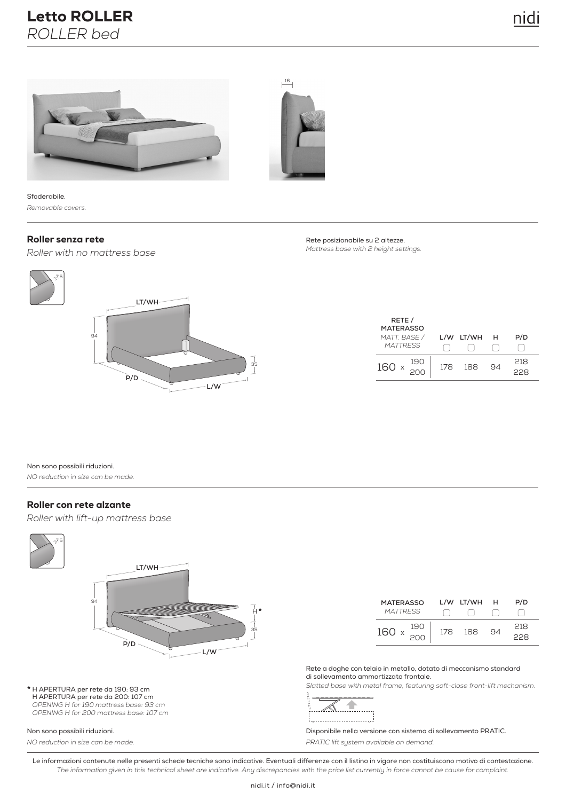



Sfoderabile. *Removable covers.*

#### Roller senza rete

*Roller with no mattress base*



Rete posizionabile su 2 altezze. *Mattress base with 2 height settings.*

| RETE /<br><b>MATERASSO</b><br>MATT. BASE /<br><b>MATTRESS</b> | L/W | LT/WH | - н | P/D       |
|---------------------------------------------------------------|-----|-------|-----|-----------|
| 190<br>160 x<br>200                                           | 178 | 188   | 94  | 218<br>-8 |

Non sono possibili riduzioni. *NO reduction in size can be made.*

#### Roller con rete alzante

*Roller with lift-up mattress base*



**\*** H APERTURA per rete da 190: 93 cm H APERTURA per rete da 200: 107 cm *OPENING H for 190 mattress base: 93 cm OPENING H for 200 mattress base: 107 cm*

#### Non sono possibili riduzioni.

*NO reduction in size can be made.*

| <b>MATERASSO</b><br><b>MATTRESS</b> |     | L/W LT/WH | н  | P/D        |
|-------------------------------------|-----|-----------|----|------------|
| 190<br>160 x<br>200                 | 178 | 188       | qΔ | 218<br>228 |

Rete a doghe con telaio in metallo, dotato di meccanismo standard di sollevamento ammortizzato frontale.

*Slatted base with metal frame, featuring soft-close front-lift mechanism.*



Disponibile nella versione con sistema di sollevamento PRATIC. *PRATIC lift system available on demand.*

Le informazioni contenute nelle presenti schede tecniche sono indicative. Eventuali differenze con il listino in vigore non costituiscono motivo di contestazione. *The information given in this technical sheet are indicative. Any discrepancies with the price list currently in force cannot be cause for complaint.*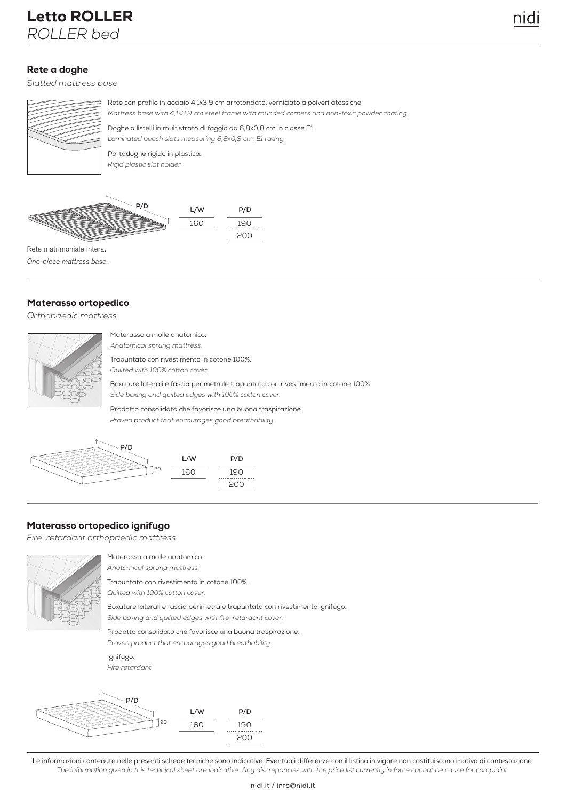# Letto ROLLER *ROLLER bed*

#### Rete a doghe

*Slatted mattress base*



Rete con profilo in acciaio 4,1x3,9 cm arrotondato, verniciato a polveri atossiche. Doghe a listelli in multistrato di faggio da 6,8x0,8 cm in classe E1. *Mattress base with 4,1x3,9 cm steel frame with rounded corners and non-toxic powder coating.* 

*Laminated beech slats measuring 6,8x0,8 cm, E1 rating.*

Portadoghe rigido in plastica. *Rigid plastic slat holder.*



One-piece mattress base.

#### Materasso ortopedico

*Orthopaedic mattress*

| Materasso a molle anatomico.                                                       |
|------------------------------------------------------------------------------------|
| Anatomical sprung mattress.                                                        |
| Trapuntato con rivestimento in cotone 100%.                                        |
| Quilted with 100% cotton cover.                                                    |
| Boxature laterali e fascia perimetrale trapuntata con rivestimento in cotone 100%. |
| Side boxing and quilted edges with 100% cotton cover.                              |
| Prodotto consolidato che favorisce una buona traspirazione.                        |

*Proven product that encourages good breathability.*



### Materasso ortopedico ignifugo

*Fire-retardant orthopaedic mattress*



Materasso a molle anatomico. *Anatomical sprung mattress.*

Trapuntato con rivestimento in cotone 100%. *Quilted with 100% cotton cover.*

Boxature laterali e fascia perimetrale trapuntata con rivestimento ignifugo. *Side boxing and quilted edges with fire-retardant cover.*

Prodotto consolidato che favorisce una buona traspirazione.

*Proven product that encourages good breathability.*

Ignifugo. *Fire retardant.*



Le informazioni contenute nelle presenti schede tecniche sono indicative. Eventuali differenze con il listino in vigore non costituiscono motivo di contestazione. *The information given in this technical sheet are indicative. Any discrepancies with the price list currently in force cannot be cause for complaint.*